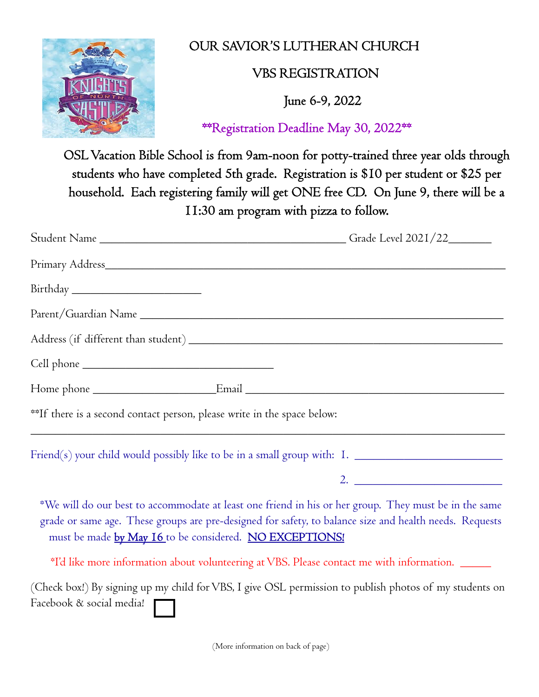

## OUR SAVIOR'S LUTHERAN CHURCH

## VBS REGISTRATION

June 6-9, 2022

\*\*Registration Deadline May 30, 2022\*\*

OSL Vacation Bible School is from 9am-noon for potty-trained three year olds through students who have completed 5th grade. Registration is \$10 per student or \$25 per household. Each registering family will get ONE free CD. On June 9, there will be a 11:30 am program with pizza to follow.

| **If there is a second contact person, please write in the space below: |  |
|-------------------------------------------------------------------------|--|

 $\text{Friend}(s)$  your child would possibly like to be in a small group with:  $\text{I.}$   $\Box$ 

2. \_\_\_\_\_\_\_\_\_\_\_\_\_\_\_\_\_\_\_\_\_\_\_\_

\*We will do our best to accommodate at least one friend in his or her group. They must be in the same grade or same age. These groups are pre-designed for safety, to balance size and health needs. Requests must be made by May 16 to be considered. NO EXCEPTIONS!

\*I'd like more information about volunteering at VBS. Please contact me with information. \_\_\_\_\_

(Check box!) By signing up my child for VBS, I give OSL permission to publish photos of my students on Facebook & social media!

(More information on back of page)